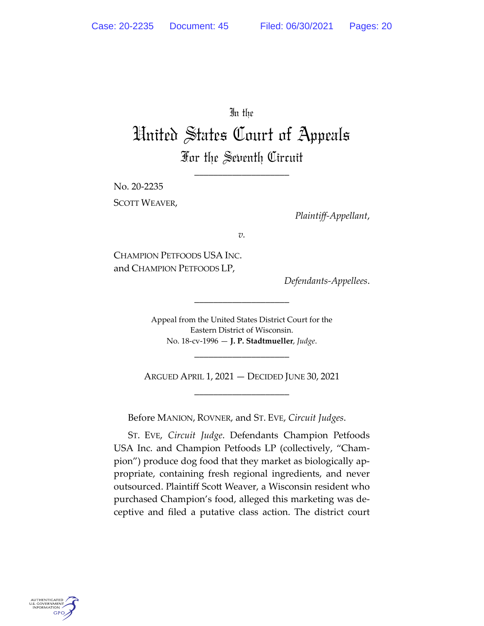In the

# United States Court of Appeals For the Seventh Circuit

\_\_\_\_\_\_\_\_\_\_\_\_\_\_\_\_\_\_\_\_

No. 20‐2235 SCOTT WEAVER,

*Plaintiff‐Appellant*,

*v.*

CHAMPION PETFOODS USA INC. and CHAMPION PETFOODS LP,

*Defendants‐Appellees*.

Appeal from the United States District Court for the Eastern District of Wisconsin. No. 18‐cv‐1996 — **J. P. Stadtmueller**, *Judge*.

\_\_\_\_\_\_\_\_\_\_\_\_\_\_\_\_\_\_\_\_

ARGUED APRIL 1, 2021 — DECIDED JUNE 30, 2021 \_\_\_\_\_\_\_\_\_\_\_\_\_\_\_\_\_\_\_\_

\_\_\_\_\_\_\_\_\_\_\_\_\_\_\_\_\_\_\_\_

Before MANION, ROVNER, and ST. EVE, *Circuit Judges*.

ST. EVE, *Circuit Judge*. Defendants Champion Petfoods USA Inc. and Champion Petfoods LP (collectively, "Cham‐ pion") produce dog food that they market as biologically ap‐ propriate, containing fresh regional ingredients, and never outsourced. Plaintiff Scott Weaver, a Wisconsin resident who purchased Champion's food, alleged this marketing was de‐ ceptive and filed a putative class action. The district court

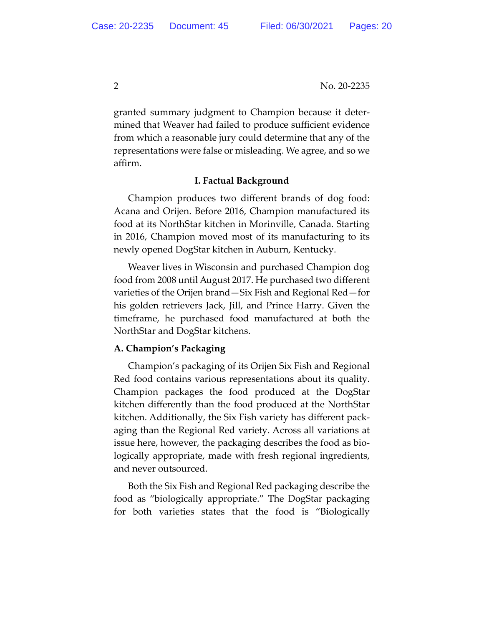granted summary judgment to Champion because it deter‐ mined that Weaver had failed to produce sufficient evidence from which a reasonable jury could determine that any of the representations were false or misleading. We agree, and so we affirm.

# **I. Factual Background**

Champion produces two different brands of dog food: Acana and Orijen. Before 2016, Champion manufactured its food at its NorthStar kitchen in Morinville, Canada. Starting in 2016, Champion moved most of its manufacturing to its newly opened DogStar kitchen in Auburn, Kentucky.

Weaver lives in Wisconsin and purchased Champion dog food from 2008 until August 2017. He purchased two different varieties of the Orijen brand—Six Fish and Regional Red—for his golden retrievers Jack, Jill, and Prince Harry. Given the timeframe, he purchased food manufactured at both the NorthStar and DogStar kitchens.

# **A. Champion's Packaging**

Champion's packaging of its Orijen Six Fish and Regional Red food contains various representations about its quality. Champion packages the food produced at the DogStar kitchen differently than the food produced at the NorthStar kitchen. Additionally, the Six Fish variety has different pack‐ aging than the Regional Red variety. Across all variations at issue here, however, the packaging describes the food as bio‐ logically appropriate, made with fresh regional ingredients, and never outsourced.

Both the Six Fish and Regional Red packaging describe the food as "biologically appropriate." The DogStar packaging for both varieties states that the food is "Biologically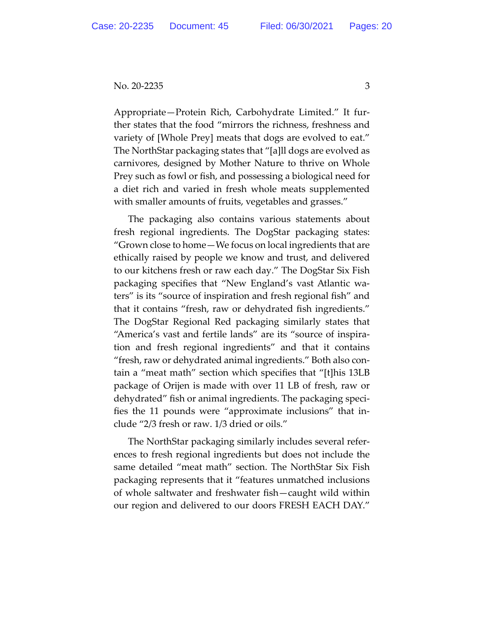Appropriate—Protein Rich, Carbohydrate Limited." It fur‐ ther states that the food "mirrors the richness, freshness and variety of [Whole Prey] meats that dogs are evolved to eat." The NorthStar packaging states that "[a]ll dogs are evolved as carnivores, designed by Mother Nature to thrive on Whole Prey such as fowl or fish, and possessing a biological need for a diet rich and varied in fresh whole meats supplemented with smaller amounts of fruits, vegetables and grasses."

The packaging also contains various statements about fresh regional ingredients. The DogStar packaging states: "Grown close to home—We focus on local ingredients that are ethically raised by people we know and trust, and delivered to our kitchens fresh or raw each day." The DogStar Six Fish packaging specifies that "New England's vast Atlantic wa‐ ters" is its "source of inspiration and fresh regional fish" and that it contains "fresh, raw or dehydrated fish ingredients." The DogStar Regional Red packaging similarly states that "America's vast and fertile lands" are its "source of inspira‐ tion and fresh regional ingredients" and that it contains "fresh, raw or dehydrated animal ingredients." Both also con‐ tain a "meat math" section which specifies that "[t]his 13LB package of Orijen is made with over 11 LB of fresh, raw or dehydrated" fish or animal ingredients. The packaging speci‐ fies the 11 pounds were "approximate inclusions" that in‐ clude "2/3 fresh or raw. 1/3 dried or oils."

The NorthStar packaging similarly includes several refer‐ ences to fresh regional ingredients but does not include the same detailed "meat math" section. The NorthStar Six Fish packaging represents that it "features unmatched inclusions of whole saltwater and freshwater fish—caught wild within our region and delivered to our doors FRESH EACH DAY."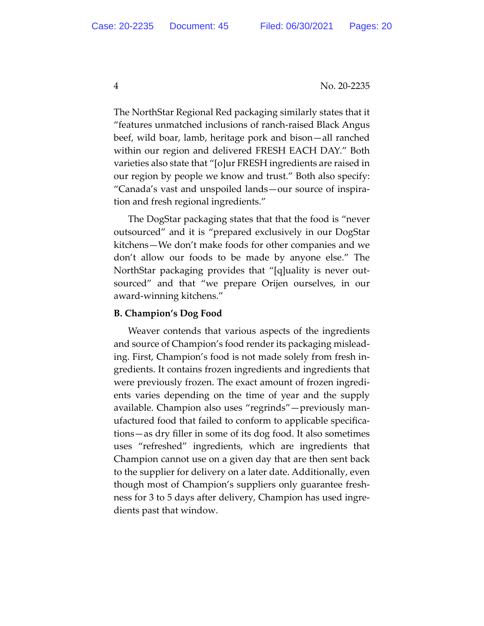The NorthStar Regional Red packaging similarly states that it "features unmatched inclusions of ranch‐raised Black Angus beef, wild boar, lamb, heritage pork and bison—all ranched within our region and delivered FRESH EACH DAY." Both varieties also state that "[o]ur FRESH ingredients are raised in our region by people we know and trust." Both also specify: "Canada's vast and unspoiled lands—our source of inspira‐ tion and fresh regional ingredients."

The DogStar packaging states that that the food is "never outsourced" and it is "prepared exclusively in our DogStar kitchens—We don't make foods for other companies and we don't allow our foods to be made by anyone else." The NorthStar packaging provides that "[q]uality is never out‐ sourced" and that "we prepare Orijen ourselves, in our award‐winning kitchens."

# **B. Champion's Dog Food**

Weaver contends that various aspects of the ingredients and source of Champion's food render its packaging mislead‐ ing. First, Champion's food is not made solely from fresh in‐ gredients. It contains frozen ingredients and ingredients that were previously frozen. The exact amount of frozen ingredi‐ ents varies depending on the time of year and the supply available. Champion also uses "regrinds"—previously man‐ ufactured food that failed to conform to applicable specifica‐ tions—as dry filler in some of its dog food. It also sometimes uses "refreshed" ingredients, which are ingredients that Champion cannot use on a given day that are then sent back to the supplier for delivery on a later date. Additionally, even though most of Champion's suppliers only guarantee fresh‐ ness for 3 to 5 days after delivery, Champion has used ingre‐ dients past that window.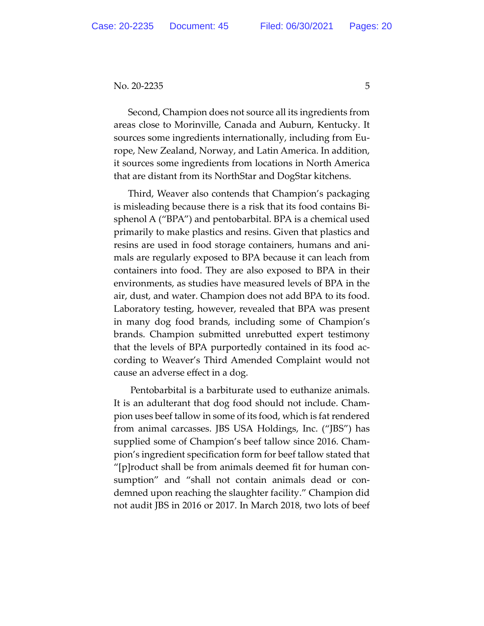Second, Champion does not source all its ingredients from areas close to Morinville, Canada and Auburn, Kentucky. It sources some ingredients internationally, including from Eu‐ rope, New Zealand, Norway, and Latin America. In addition, it sources some ingredients from locations in North America that are distant from its NorthStar and DogStar kitchens.

Third, Weaver also contends that Champion's packaging is misleading because there is a risk that its food contains Bi‐ sphenol A ("BPA") and pentobarbital. BPA is a chemical used primarily to make plastics and resins. Given that plastics and resins are used in food storage containers, humans and ani‐ mals are regularly exposed to BPA because it can leach from containers into food. They are also exposed to BPA in their environments, as studies have measured levels of BPA in the air, dust, and water. Champion does not add BPA to its food. Laboratory testing, however, revealed that BPA was present in many dog food brands, including some of Champion's brands. Champion submitted unrebutted expert testimony that the levels of BPA purportedly contained in its food ac‐ cording to Weaver's Third Amended Complaint would not cause an adverse effect in a dog.

Pentobarbital is a barbiturate used to euthanize animals. It is an adulterant that dog food should not include. Cham‐ pion uses beef tallow in some of its food, which is fat rendered from animal carcasses. JBS USA Holdings, Inc. ("JBS") has supplied some of Champion's beef tallow since 2016. Cham‐ pion's ingredient specification form for beef tallow stated that "[p]roduct shall be from animals deemed fit for human con‐ sumption" and "shall not contain animals dead or condemned upon reaching the slaughter facility." Champion did not audit JBS in 2016 or 2017. In March 2018, two lots of beef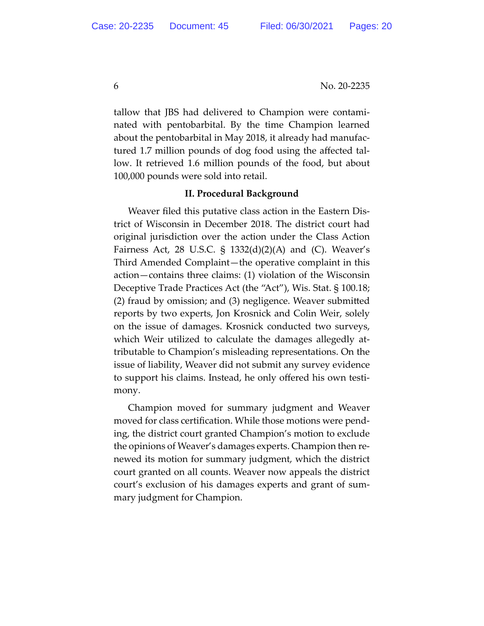tallow that JBS had delivered to Champion were contami‐ nated with pentobarbital. By the time Champion learned about the pentobarbital in May 2018, it already had manufac‐ tured 1.7 million pounds of dog food using the affected tal‐ low. It retrieved 1.6 million pounds of the food, but about 100,000 pounds were sold into retail.

### **II. Procedural Background**

Weaver filed this putative class action in the Eastern Dis‐ trict of Wisconsin in December 2018. The district court had original jurisdiction over the action under the Class Action Fairness Act, 28 U.S.C.  $\frac{1}{2}$  1332(d)(2)(A) and (C). Weaver's Third Amended Complaint—the operative complaint in this action—contains three claims: (1) violation of the Wisconsin Deceptive Trade Practices Act (the "Act"), Wis. Stat. § 100.18; (2) fraud by omission; and (3) negligence. Weaver submitted reports by two experts, Jon Krosnick and Colin Weir, solely on the issue of damages. Krosnick conducted two surveys, which Weir utilized to calculate the damages allegedly at‐ tributable to Champion's misleading representations. On the issue of liability, Weaver did not submit any survey evidence to support his claims. Instead, he only offered his own testi‐ mony.

Champion moved for summary judgment and Weaver moved for class certification. While those motions were pend‐ ing, the district court granted Champion's motion to exclude the opinions of Weaver's damages experts. Champion then re‐ newed its motion for summary judgment, which the district court granted on all counts. Weaver now appeals the district court's exclusion of his damages experts and grant of sum‐ mary judgment for Champion.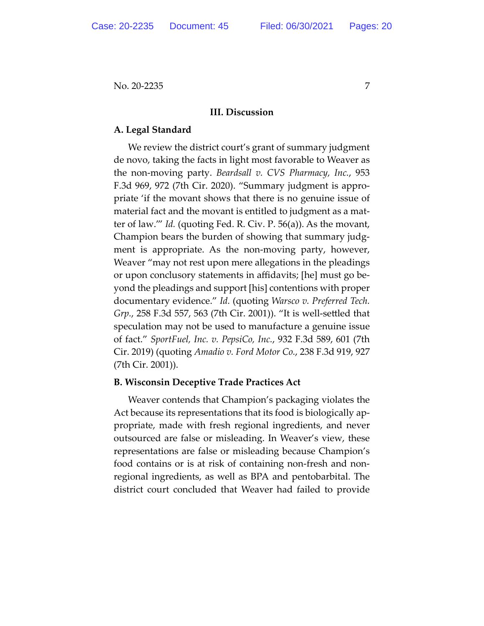# **III. Discussion**

# **A. Legal Standard**

We review the district court's grant of summary judgment de novo, taking the facts in light most favorable to Weaver as the non‐moving party. *Beardsall v. CVS Pharmacy, Inc.*, 953 F.3d 969, 972 (7th Cir. 2020). "Summary judgment is appro‐ priate 'if the movant shows that there is no genuine issue of material fact and the movant is entitled to judgment as a mat‐ ter of law.'" *Id.* (quoting Fed. R. Civ. P. 56(a)). As the movant, Champion bears the burden of showing that summary judg‐ ment is appropriate. As the non‐moving party, however, Weaver "may not rest upon mere allegations in the pleadings or upon conclusory statements in affidavits; [he] must go be‐ yond the pleadings and support [his] contentions with proper documentary evidence." *Id.* (quoting *Warsco v. Preferred Tech. Grp.*, 258 F.3d 557, 563 (7th Cir. 2001)). "It is well‐settled that speculation may not be used to manufacture a genuine issue of fact." *SportFuel, Inc. v. PepsiCo, Inc.*, 932 F.3d 589, 601 (7th Cir. 2019) (quoting *Amadio v. Ford Motor Co.*, 238 F.3d 919, 927 (7th Cir. 2001)).

# **B. Wisconsin Deceptive Trade Practices Act**

Weaver contends that Champion's packaging violates the Act because its representations that its food is biologically ap‐ propriate, made with fresh regional ingredients, and never outsourced are false or misleading. In Weaver's view, these representations are false or misleading because Champion's food contains or is at risk of containing non‐fresh and non‐ regional ingredients, as well as BPA and pentobarbital. The district court concluded that Weaver had failed to provide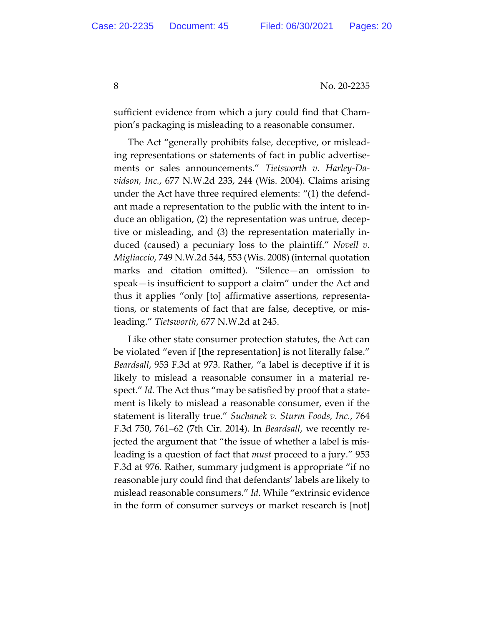8 No. 20-2235

sufficient evidence from which a jury could find that Cham‐ pion's packaging is misleading to a reasonable consumer.

The Act "generally prohibits false, deceptive, or mislead‐ ing representations or statements of fact in public advertise‐ ments or sales announcements." *Tietsworth v. Harley‐Da‐ vidson, Inc.*, 677 N.W.2d 233, 244 (Wis. 2004). Claims arising under the Act have three required elements: "(1) the defend‐ ant made a representation to the public with the intent to in‐ duce an obligation, (2) the representation was untrue, decep‐ tive or misleading, and (3) the representation materially in‐ duced (caused) a pecuniary loss to the plaintiff." *Novell v. Migliaccio*, 749 N.W.2d 544, 553 (Wis. 2008) (internal quotation marks and citation omitted). "Silence—an omission to speak—is insufficient to support a claim" under the Act and thus it applies "only [to] affirmative assertions, representa‐ tions, or statements of fact that are false, deceptive, or mis‐ leading." *Tietsworth*, 677 N.W.2d at 245.

Like other state consumer protection statutes, the Act can be violated "even if [the representation] is not literally false." *Beardsall*, 953 F.3d at 973. Rather, "a label is deceptive if it is likely to mislead a reasonable consumer in a material re‐ spect." *Id.* The Act thus "may be satisfied by proof that a state‐ ment is likely to mislead a reasonable consumer, even if the statement is literally true." *Suchanek v. Sturm Foods, Inc.*, 764 F.3d 750, 761–62 (7th Cir. 2014). In *Beardsall*, we recently re‐ jected the argument that "the issue of whether a label is mis‐ leading is a question of fact that *must* proceed to a jury." 953 F.3d at 976. Rather, summary judgment is appropriate "if no reasonable jury could find that defendants' labels are likely to mislead reasonable consumers." *Id.* While "extrinsic evidence in the form of consumer surveys or market research is [not]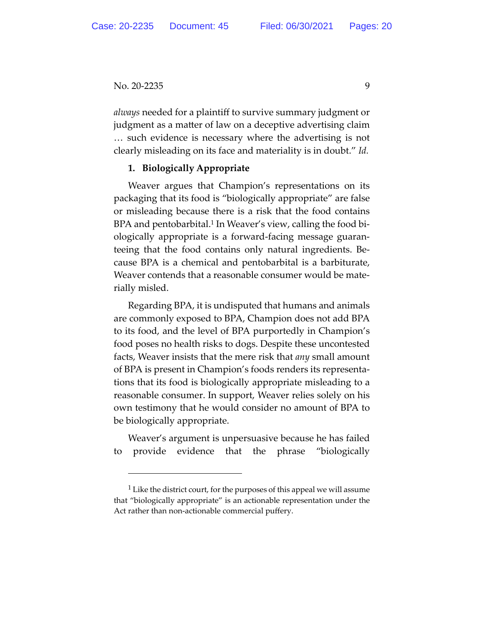*always* needed for a plaintiff to survive summary judgment or judgment as a matter of law on a deceptive advertising claim … such evidence is necessary where the advertising is not clearly misleading on its face and materiality is in doubt." *Id.*

# **1. Biologically Appropriate**

Weaver argues that Champion's representations on its packaging that its food is "biologically appropriate" are false or misleading because there is a risk that the food contains BPA and pentobarbital.<sup>1</sup> In Weaver's view, calling the food biologically appropriate is a forward‐facing message guaran‐ teeing that the food contains only natural ingredients. Be‐ cause BPA is a chemical and pentobarbital is a barbiturate, Weaver contends that a reasonable consumer would be mate‐ rially misled.

Regarding BPA, it is undisputed that humans and animals are commonly exposed to BPA, Champion does not add BPA to its food, and the level of BPA purportedly in Champion's food poses no health risks to dogs. Despite these uncontested facts, Weaver insists that the mere risk that *any* small amount of BPA is present in Champion's foods renders its representa‐ tions that its food is biologically appropriate misleading to a reasonable consumer. In support, Weaver relies solely on his own testimony that he would consider no amount of BPA to be biologically appropriate.

Weaver's argument is unpersuasive because he has failed to provide evidence that the phrase "biologically

<sup>&</sup>lt;sup>1</sup> Like the district court, for the purposes of this appeal we will assume that "biologically appropriate" is an actionable representation under the Act rather than non‐actionable commercial puffery.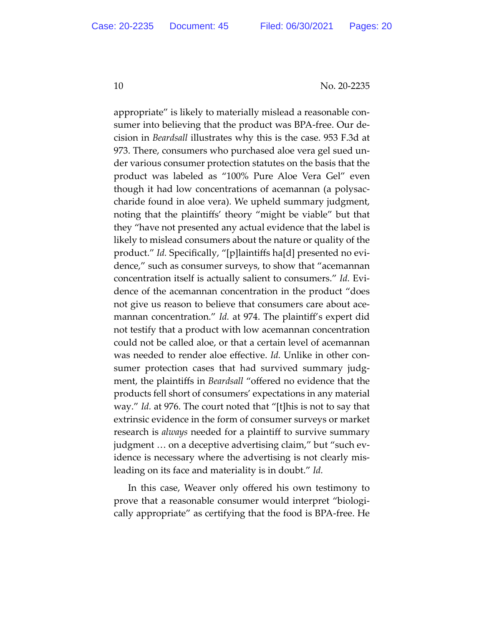appropriate" is likely to materially mislead a reasonable con‐ sumer into believing that the product was BPA‐free. Our de‐ cision in *Beardsall* illustrates why this is the case. 953 F.3d at 973. There, consumers who purchased aloe vera gel sued un‐ der various consumer protection statutes on the basis that the product was labeled as "100% Pure Aloe Vera Gel" even though it had low concentrations of acemannan (a polysac‐ charide found in aloe vera). We upheld summary judgment, noting that the plaintiffs' theory "might be viable" but that they "have not presented any actual evidence that the label is likely to mislead consumers about the nature or quality of the product." Id. Specifically, "[p]laintiffs ha[d] presented no evidence," such as consumer surveys, to show that "acemannan concentration itself is actually salient to consumers." *Id.* Evi‐ dence of the acemannan concentration in the product "does not give us reason to believe that consumers care about acemannan concentration." *Id.* at 974. The plaintiff's expert did not testify that a product with low acemannan concentration could not be called aloe, or that a certain level of acemannan was needed to render aloe effective. *Id*. Unlike in other consumer protection cases that had survived summary judg‐ ment, the plaintiffs in *Beardsall* "offered no evidence that the products fell short of consumers' expectations in any material way." *Id.* at 976. The court noted that "[t]his is not to say that extrinsic evidence in the form of consumer surveys or market research is *always* needed for a plaintiff to survive summary judgment … on a deceptive advertising claim," but "such ev‐ idence is necessary where the advertising is not clearly mis‐ leading on its face and materiality is in doubt." *Id.*

In this case, Weaver only offered his own testimony to prove that a reasonable consumer would interpret "biologi‐ cally appropriate" as certifying that the food is BPA‐free. He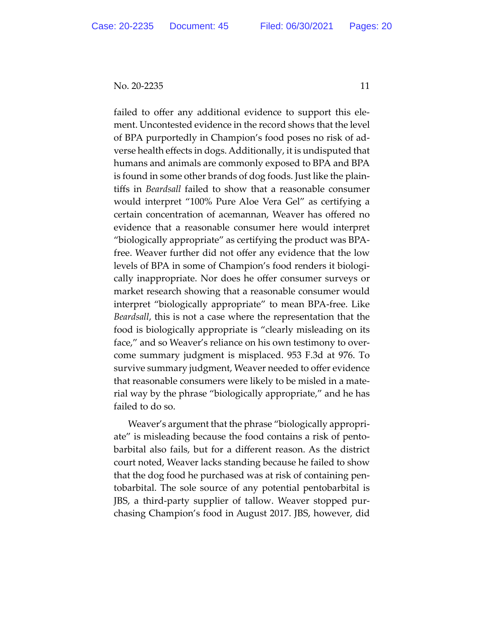failed to offer any additional evidence to support this ele‐ ment. Uncontested evidence in the record shows that the level of BPA purportedly in Champion's food poses no risk of ad‐ verse health effects in dogs. Additionally, it is undisputed that humans and animals are commonly exposed to BPA and BPA is found in some other brands of dog foods. Just like the plain‐ tiffs in *Beardsall* failed to show that a reasonable consumer would interpret "100% Pure Aloe Vera Gel" as certifying a certain concentration of acemannan, Weaver has offered no evidence that a reasonable consumer here would interpret "biologically appropriate" as certifying the product was BPA‐ free. Weaver further did not offer any evidence that the low levels of BPA in some of Champion's food renders it biologically inappropriate. Nor does he offer consumer surveys or market research showing that a reasonable consumer would interpret "biologically appropriate" to mean BPA‐free. Like *Beardsall*, this is not a case where the representation that the food is biologically appropriate is "clearly misleading on its face," and so Weaver's reliance on his own testimony to over‐ come summary judgment is misplaced. 953 F.3d at 976. To survive summary judgment, Weaver needed to offer evidence that reasonable consumers were likely to be misled in a mate‐ rial way by the phrase "biologically appropriate," and he has failed to do so.

Weaver's argument that the phrase "biologically appropri‐ ate" is misleading because the food contains a risk of pento‐ barbital also fails, but for a different reason. As the district court noted, Weaver lacks standing because he failed to show that the dog food he purchased was at risk of containing pen‐ tobarbital. The sole source of any potential pentobarbital is JBS, a third‐party supplier of tallow. Weaver stopped pur‐ chasing Champion's food in August 2017. JBS, however, did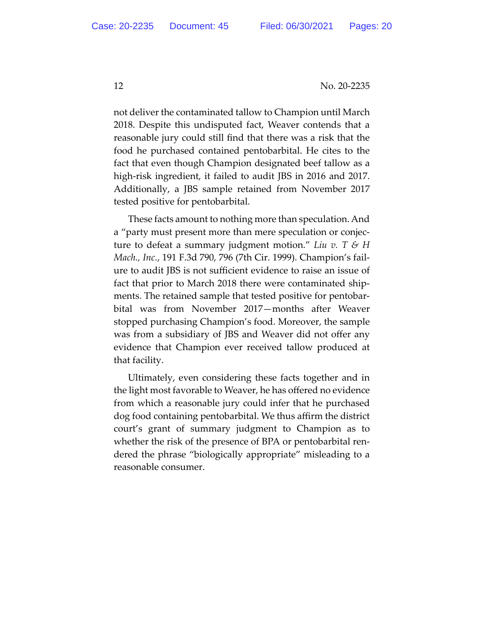not deliver the contaminated tallow to Champion until March 2018. Despite this undisputed fact, Weaver contends that a reasonable jury could still find that there was a risk that the food he purchased contained pentobarbital. He cites to the fact that even though Champion designated beef tallow as a high-risk ingredient, it failed to audit JBS in 2016 and 2017. Additionally, a JBS sample retained from November 2017 tested positive for pentobarbital.

These facts amount to nothing more than speculation. And a "party must present more than mere speculation or conjec‐ ture to defeat a summary judgment motion." *Liu v. T & H Mach., Inc.*, 191 F.3d 790, 796 (7th Cir. 1999). Champion's fail‐ ure to audit JBS is not sufficient evidence to raise an issue of fact that prior to March 2018 there were contaminated shipments. The retained sample that tested positive for pentobarbital was from November 2017—months after Weaver stopped purchasing Champion's food. Moreover, the sample was from a subsidiary of JBS and Weaver did not offer any evidence that Champion ever received tallow produced at that facility.

Ultimately, even considering these facts together and in the light most favorable to Weaver, he has offered no evidence from which a reasonable jury could infer that he purchased dog food containing pentobarbital. We thus affirm the district court's grant of summary judgment to Champion as to whether the risk of the presence of BPA or pentobarbital ren‐ dered the phrase "biologically appropriate" misleading to a reasonable consumer.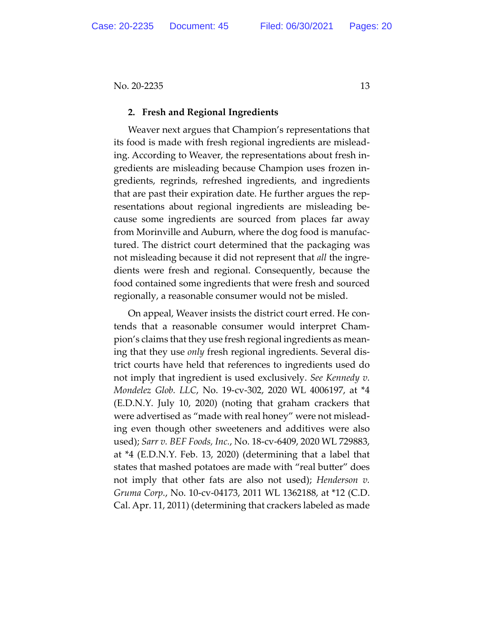#### **2. Fresh and Regional Ingredients**

Weaver next argues that Champion's representations that its food is made with fresh regional ingredients are mislead‐ ing. According to Weaver, the representations about fresh in‐ gredients are misleading because Champion uses frozen in‐ gredients, regrinds, refreshed ingredients, and ingredients that are past their expiration date. He further argues the rep‐ resentations about regional ingredients are misleading be‐ cause some ingredients are sourced from places far away from Morinville and Auburn, where the dog food is manufac‐ tured. The district court determined that the packaging was not misleading because it did not represent that *all* the ingre‐ dients were fresh and regional. Consequently, because the food contained some ingredients that were fresh and sourced regionally, a reasonable consumer would not be misled.

On appeal, Weaver insists the district court erred. He con‐ tends that a reasonable consumer would interpret Cham‐ pion's claims that they use fresh regional ingredients as mean‐ ing that they use *only* fresh regional ingredients. Several dis‐ trict courts have held that references to ingredients used do not imply that ingredient is used exclusively. *See Kennedy v. Mondelez Glob. LLC*, No. 19‐cv‐302, 2020 WL 4006197, at \*4 (E.D.N.Y. July 10, 2020) (noting that graham crackers that were advertised as "made with real honey" were not misleading even though other sweeteners and additives were also used); *Sarr v. BEF Foods, Inc.*, No. 18‐cv‐6409, 2020 WL 729883, at \*4 (E.D.N.Y. Feb. 13, 2020) (determining that a label that states that mashed potatoes are made with "real butter" does not imply that other fats are also not used); *Henderson v. Gruma Corp.*, No. 10‐cv‐04173, 2011 WL 1362188, at \*12 (C.D. Cal. Apr. 11, 2011) (determining that crackers labeled as made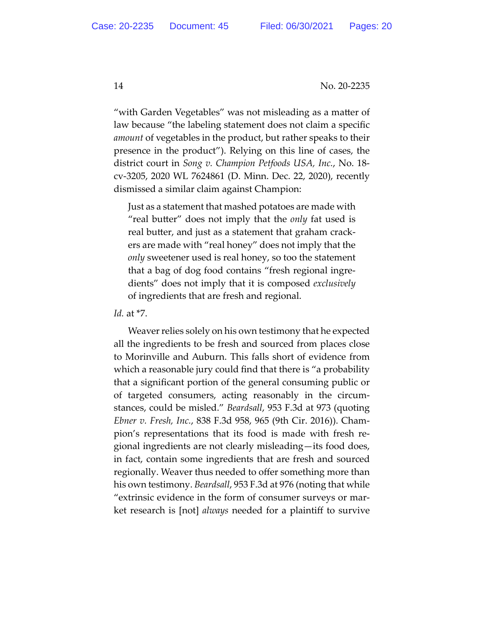"with Garden Vegetables" was not misleading as a matter of law because "the labeling statement does not claim a specific *amount* of vegetables in the product, but rather speaks to their presence in the product"). Relying on this line of cases, the district court in *Song v. Champion Petfoods USA, Inc.*, No. 18‐ cv‐3205, 2020 WL 7624861 (D. Minn. Dec. 22, 2020), recently dismissed a similar claim against Champion:

Just as a statement that mashed potatoes are made with "real butter" does not imply that the *only* fat used is real butter, and just as a statement that graham crack‐ ers are made with "real honey" does not imply that the *only* sweetener used is real honey, so too the statement that a bag of dog food contains "fresh regional ingre‐ dients" does not imply that it is composed *exclusively* of ingredients that are fresh and regional.

*Id.* at \*7.

Weaver relies solely on his own testimony that he expected all the ingredients to be fresh and sourced from places close to Morinville and Auburn. This falls short of evidence from which a reasonable jury could find that there is "a probability that a significant portion of the general consuming public or of targeted consumers, acting reasonably in the circum‐ stances, could be misled." *Beardsall*, 953 F.3d at 973 (quoting *Ebner v. Fresh, Inc.*, 838 F.3d 958, 965 (9th Cir. 2016)). Cham‐ pion's representations that its food is made with fresh re‐ gional ingredients are not clearly misleading—its food does, in fact, contain some ingredients that are fresh and sourced regionally. Weaver thus needed to offer something more than his own testimony. *Beardsall*, 953 F.3d at 976 (noting that while "extrinsic evidence in the form of consumer surveys or mar‐ ket research is [not] *always* needed for a plaintiff to survive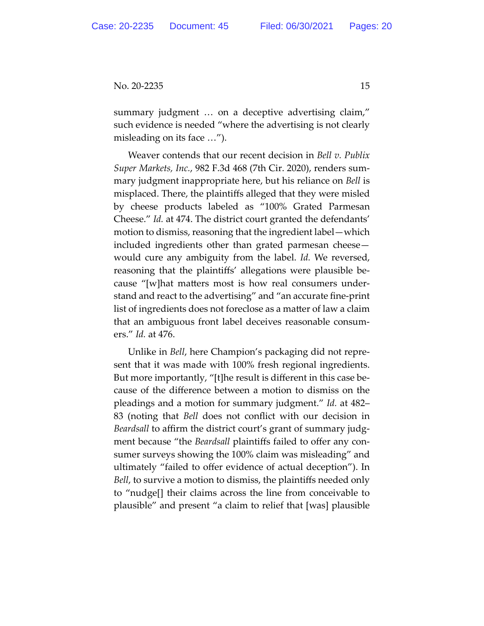summary judgment … on a deceptive advertising claim," such evidence is needed "where the advertising is not clearly misleading on its face …").

Weaver contends that our recent decision in *Bell v. Publix Super Markets, Inc.*, 982 F.3d 468 (7th Cir. 2020), renders sum‐ mary judgment inappropriate here, but his reliance on *Bell* is misplaced. There, the plaintiffs alleged that they were misled by cheese products labeled as "100% Grated Parmesan Cheese." *Id.* at 474. The district court granted the defendants' motion to dismiss, reasoning that the ingredient label—which included ingredients other than grated parmesan cheese would cure any ambiguity from the label. *Id.* We reversed, reasoning that the plaintiffs' allegations were plausible be‐ cause "[w]hat matters most is how real consumers under‐ stand and react to the advertising" and "an accurate fine‐print list of ingredients does not foreclose as a matter of law a claim that an ambiguous front label deceives reasonable consum‐ ers." *Id.* at 476.

Unlike in *Bell*, here Champion's packaging did not repre‐ sent that it was made with 100% fresh regional ingredients. But more importantly, "[t]he result is different in this case be‐ cause of the difference between a motion to dismiss on the pleadings and a motion for summary judgment." *Id.* at 482– 83 (noting that *Bell* does not conflict with our decision in *Beardsall* to affirm the district court's grant of summary judg‐ ment because "the *Beardsall* plaintiffs failed to offer any con‐ sumer surveys showing the 100% claim was misleading" and ultimately "failed to offer evidence of actual deception"). In *Bell*, to survive a motion to dismiss, the plaintiffs needed only to "nudge[] their claims across the line from conceivable to plausible" and present "a claim to relief that [was] plausible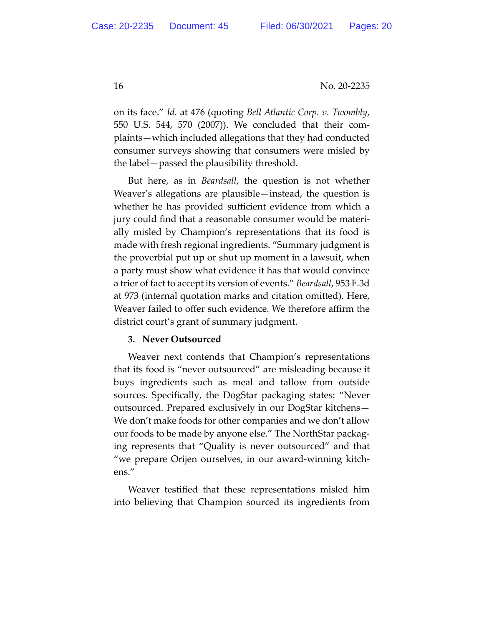on its face." *Id.* at 476 (quoting *Bell Atlantic Corp. v. Twombly*, 550 U.S. 544, 570 (2007)). We concluded that their com‐ plaints—which included allegations that they had conducted consumer surveys showing that consumers were misled by the label—passed the plausibility threshold.

But here, as in *Beardsall*, the question is not whether Weaver's allegations are plausible—instead, the question is whether he has provided sufficient evidence from which a jury could find that a reasonable consumer would be materi‐ ally misled by Champion's representations that its food is made with fresh regional ingredients. "Summary judgment is the proverbial put up or shut up moment in a lawsuit, when a party must show what evidence it has that would convince a trier of fact to accept its version of events." *Beardsall*, 953 F.3d at 973 (internal quotation marks and citation omitted). Here, Weaver failed to offer such evidence. We therefore affirm the district court's grant of summary judgment.

# **3. Never Outsourced**

Weaver next contends that Champion's representations that its food is "never outsourced" are misleading because it buys ingredients such as meal and tallow from outside sources. Specifically, the DogStar packaging states: "Never outsourced. Prepared exclusively in our DogStar kitchens— We don't make foods for other companies and we don't allow our foods to be made by anyone else." The NorthStar packag‐ ing represents that "Quality is never outsourced" and that "we prepare Orijen ourselves, in our award‐winning kitch‐ ens."

Weaver testified that these representations misled him into believing that Champion sourced its ingredients from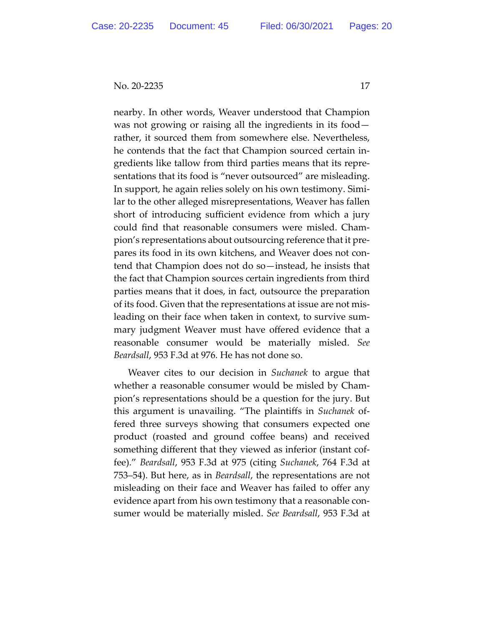nearby. In other words, Weaver understood that Champion was not growing or raising all the ingredients in its food rather, it sourced them from somewhere else. Nevertheless, he contends that the fact that Champion sourced certain in‐ gredients like tallow from third parties means that its repre‐ sentations that its food is "never outsourced" are misleading. In support, he again relies solely on his own testimony. Simi‐ lar to the other alleged misrepresentations, Weaver has fallen short of introducing sufficient evidence from which a jury could find that reasonable consumers were misled. Cham‐ pion's representations about outsourcing reference that it pre‐ pares its food in its own kitchens, and Weaver does not con‐ tend that Champion does not do so—instead, he insists that the fact that Champion sources certain ingredients from third parties means that it does, in fact, outsource the preparation of its food. Given that the representations at issue are not mis‐ leading on their face when taken in context, to survive sum‐ mary judgment Weaver must have offered evidence that a reasonable consumer would be materially misled. *See Beardsall*, 953 F.3d at 976. He has not done so.

Weaver cites to our decision in *Suchanek* to argue that whether a reasonable consumer would be misled by Cham‐ pion's representations should be a question for the jury. But this argument is unavailing. "The plaintiffs in *Suchanek* of‐ fered three surveys showing that consumers expected one product (roasted and ground coffee beans) and received something different that they viewed as inferior (instant cof‐ fee)." *Beardsall*, 953 F.3d at 975 (citing *Suchanek*, 764 F.3d at 753–54). But here, as in *Beardsall*, the representations are not misleading on their face and Weaver has failed to offer any evidence apart from his own testimony that a reasonable con‐ sumer would be materially misled. *See Beardsall*, 953 F.3d at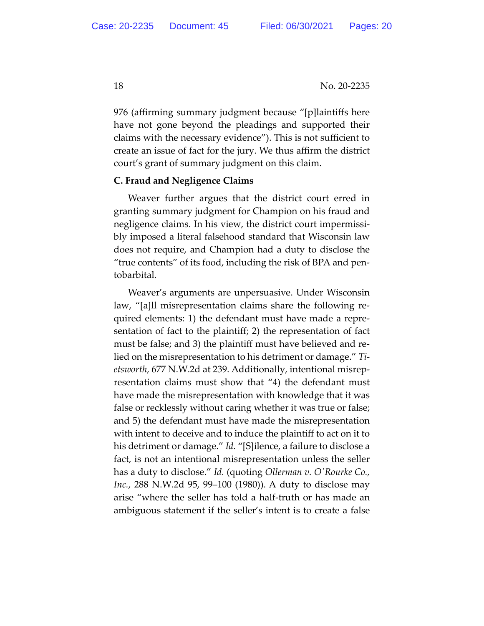976 (affirming summary judgment because "[p]laintiffs here have not gone beyond the pleadings and supported their claims with the necessary evidence"). This is not sufficient to create an issue of fact for the jury. We thus affirm the district court's grant of summary judgment on this claim.

### **C. Fraud and Negligence Claims**

Weaver further argues that the district court erred in granting summary judgment for Champion on his fraud and negligence claims. In his view, the district court impermissi‐ bly imposed a literal falsehood standard that Wisconsin law does not require, and Champion had a duty to disclose the "true contents" of its food, including the risk of BPA and pen‐ tobarbital.

Weaver's arguments are unpersuasive. Under Wisconsin law, "[a]ll misrepresentation claims share the following re‐ quired elements: 1) the defendant must have made a repre‐ sentation of fact to the plaintiff; 2) the representation of fact must be false; and 3) the plaintiff must have believed and re‐ lied on the misrepresentation to his detriment or damage." *Ti‐ etsworth*, 677 N.W.2d at 239. Additionally, intentional misrep‐ resentation claims must show that "4) the defendant must have made the misrepresentation with knowledge that it was false or recklessly without caring whether it was true or false; and 5) the defendant must have made the misrepresentation with intent to deceive and to induce the plaintiff to act on it to his detriment or damage." *Id.* "[S]ilence, a failure to disclose a fact, is not an intentional misrepresentation unless the seller has a duty to disclose." *Id.* (quoting *Ollerman v. OʹRourke Co., Inc.*, 288 N.W.2d 95, 99–100 (1980)). A duty to disclose may arise "where the seller has told a half‐truth or has made an ambiguous statement if the seller's intent is to create a false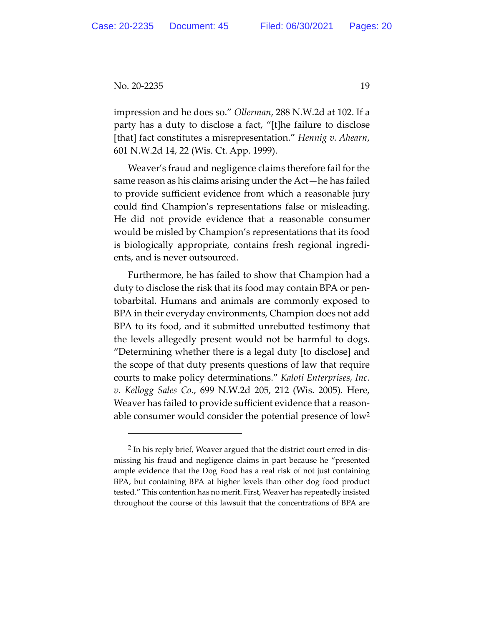impression and he does so." *Ollerman*, 288 N.W.2d at 102. If a party has a duty to disclose a fact, "[t]he failure to disclose [that] fact constitutes a misrepresentation." *Hennig v. Ahearn*, 601 N.W.2d 14, 22 (Wis. Ct. App. 1999).

Weaver's fraud and negligence claims therefore fail for the same reason as his claims arising under the Act—he has failed to provide sufficient evidence from which a reasonable jury could find Champion's representations false or misleading. He did not provide evidence that a reasonable consumer would be misled by Champion's representations that its food is biologically appropriate, contains fresh regional ingredi‐ ents, and is never outsourced.

Furthermore, he has failed to show that Champion had a duty to disclose the risk that its food may contain BPA or pen‐ tobarbital. Humans and animals are commonly exposed to BPA in their everyday environments, Champion does not add BPA to its food, and it submitted unrebutted testimony that the levels allegedly present would not be harmful to dogs. "Determining whether there is a legal duty [to disclose] and the scope of that duty presents questions of law that require courts to make policy determinations." *Kaloti Enterprises, Inc. v. Kellogg Sales Co.*, 699 N.W.2d 205, 212 (Wis. 2005). Here, Weaver has failed to provide sufficient evidence that a reasonable consumer would consider the potential presence of low<sup>2</sup>

<sup>&</sup>lt;sup>2</sup> In his reply brief, Weaver argued that the district court erred in dismissing his fraud and negligence claims in part because he "presented ample evidence that the Dog Food has a real risk of not just containing BPA, but containing BPA at higher levels than other dog food product tested." This contention has no merit. First, Weaver has repeatedly insisted throughout the course of this lawsuit that the concentrations of BPA are